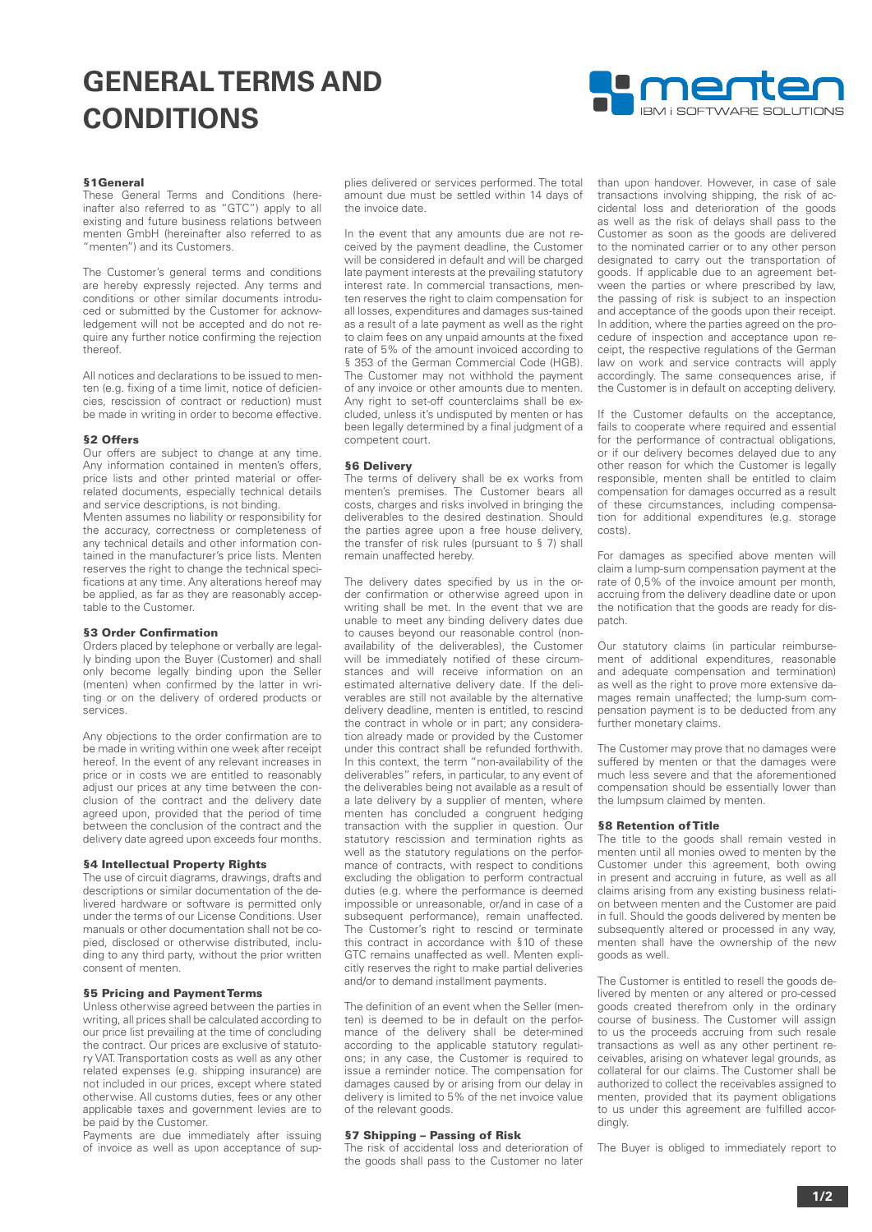# **GENERAL TERMS AND CONDITIONS**



# **§1General**

These General Terms and Conditions (hereinafter also referred to as "GTC") apply to all existing and future business relations between menten GmbH (hereinafter also referred to as "menten") and its Customers.

The Customer's general terms and conditions are hereby expressly rejected. Any terms and conditions or other similar documents introduced or submitted by the Customer for acknowledgement will not be accepted and do not require any further notice confirming the rejection thereof.

All notices and declarations to be issued to menten (e.g. fixing of a time limit, notice of deficiencies, rescission of contract or reduction) must be made in writing in order to become effective.

#### **§2 Offers**

Our offers are subject to change at any time. Any information contained in menten's offers price lists and other printed material or offerrelated documents, especially technical details and service descriptions, is not binding.

Menten assumes no liability or responsibility for the accuracy, correctness or completeness of any technical details and other information contained in the manufacturer's price lists. Menten reserves the right to change the technical specifications at any time. Any alterations hereof may be applied, as far as they are reasonably acceptable to the Customer.

# **§3 Order Confirmation**

Orders placed by telephone or verbally are legally binding upon the Buyer (Customer) and shall only become legally binding upon the Seller (menten) when confirmed by the latter in writing or on the delivery of ordered products or services.

Any objections to the order confirmation are to be made in writing within one week after receipt hereof. In the event of any relevant increases in price or in costs we are entitled to reasonably adjust our prices at any time between the conclusion of the contract and the delivery date agreed upon, provided that the period of time between the conclusion of the contract and the delivery date agreed upon exceeds four months.

# **§4 Intellectual Property Rights**

The use of circuit diagrams, drawings, drafts and descriptions or similar documentation of the delivered hardware or software is permitted only under the terms of our License Conditions. User manuals or other documentation shall not be copied, disclosed or otherwise distributed, including to any third party, without the prior written consent of menten.

## **§5 Pricing and Payment Terms**

Unless otherwise agreed between the parties in writing, all prices shall be calculated according to our price list prevailing at the time of concluding the contract. Our prices are exclusive of statutory VAT. Transportation costs as well as any other related expenses (e.g. shipping insurance) are not included in our prices, except where stated otherwise. All customs duties, fees or any other applicable taxes and government levies are to be paid by the Customer.

Payments are due immediately after issuing of invoice as well as upon acceptance of supplies delivered or services performed. The total amount due must be settled within 14 days of the invoice date.

In the event that any amounts due are not received by the payment deadline, the Customer will be considered in default and will be charged late payment interests at the prevailing statutory interest rate. In commercial transactions, menten reserves the right to claim compensation for all losses, expenditures and damages sus-tained as a result of a late payment as well as the right to claim fees on any unpaid amounts at the fixed rate of 5% of the amount invoiced according to § 353 of the German Commercial Code (HGB). The Customer may not withhold the payment of any invoice or other amounts due to menten. Any right to set-off counterclaims shall be excluded, unless it's undisputed by menten or has been legally determined by a final judgment of a competent court.

# **§6 Delivery**

The terms of delivery shall be ex works from menten's premises. The Customer bears all costs, charges and risks involved in bringing the deliverables to the desired destination. Should the parties agree upon a free house delivery, the transfer of risk rules (pursuant to § 7) shall remain unaffected hereby.

The delivery dates specified by us in the order confirmation or otherwise agreed upon in writing shall be met. In the event that we are unable to meet any binding delivery dates due to causes beyond our reasonable control (nonavailability of the deliverables), the Customer will be immediately notified of these circumstances and will receive information on an estimated alternative delivery date. If the deliverables are still not available by the alternative delivery deadline, menten is entitled, to rescind the contract in whole or in part; any consideration already made or provided by the Customer under this contract shall be refunded forthwith. In this context, the term "non-availability of the deliverables" refers, in particular, to any event of the deliverables being not available as a result of a late delivery by a supplier of menten, where menten has concluded a congruent hedging transaction with the supplier in question. Our statutory rescission and termination rights as well as the statutory regulations on the performance of contracts, with respect to conditions excluding the obligation to perform contractual duties (e.g. where the performance is deemed impossible or unreasonable, or/and in case of a subsequent performance), remain unaffected. The Customer's right to rescind or terminate this contract in accordance with §10 of these GTC remains unaffected as well. Menten explicitly reserves the right to make partial deliveries and/or to demand installment payments.

The definition of an event when the Seller (menten) is deemed to be in default on the performance of the delivery shall be deter-mined according to the applicable statutory regulations; in any case, the Customer is required to issue a reminder notice. The compensation for damages caused by or arising from our delay in delivery is limited to 5% of the net invoice value of the relevant goods.

#### **§7 Shipping – Passing of Risk**

The risk of accidental loss and deterioration of the goods shall pass to the Customer no later than upon handover. However, in case of sale transactions involving shipping, the risk of accidental loss and deterioration of the goods as well as the risk of delays shall pass to the Customer as soon as the goods are delivered to the nominated carrier or to any other person designated to carry out the transportation of goods. If applicable due to an agreement between the parties or where prescribed by law, the passing of risk is subject to an inspection and acceptance of the goods upon their receipt. In addition, where the parties agreed on the procedure of inspection and acceptance upon receipt, the respective regulations of the German law on work and service contracts will apply accordingly. The same consequences arise, if the Customer is in default on accepting delivery.

If the Customer defaults on the acceptance, fails to cooperate where required and essential for the performance of contractual obligations, or if our delivery becomes delayed due to any other reason for which the Customer is legally responsible, menten shall be entitled to claim compensation for damages occurred as a result of these circumstances, including compensation for additional expenditures (e.g. storage costs).

For damages as specified above menten will claim a lump-sum compensation payment at the rate of 0,5% of the invoice amount per month, accruing from the delivery deadline date or upon the notification that the goods are ready for dispatch.

Our statutory claims (in particular reimbursement of additional expenditures, reasonable and adequate compensation and termination) as well as the right to prove more extensive damages remain unaffected; the lump-sum compensation payment is to be deducted from any further monetary claims.

The Customer may prove that no damages were suffered by menten or that the damages were much less severe and that the aforementioned compensation should be essentially lower than the lumpsum claimed by menten.

# **§8 Retention of Title**

The title to the goods shall remain vested in menten until all monies owed to menten by the Customer under this agreement, both owing in present and accruing in future, as well as all claims arising from any existing business relation between menten and the Customer are paid in full. Should the goods delivered by menten be subsequently altered or processed in any way, menten shall have the ownership of the new goods as well.

The Customer is entitled to resell the goods delivered by menten or any altered or pro-cessed goods created therefrom only in the ordinary course of business. The Customer will assign to us the proceeds accruing from such resale transactions as well as any other pertinent receivables, arising on whatever legal grounds, as collateral for our claims. The Customer shall be authorized to collect the receivables assigned to menten, provided that its payment obligations to us under this agreement are fulfilled accordingly

The Buyer is obliged to immediately report to